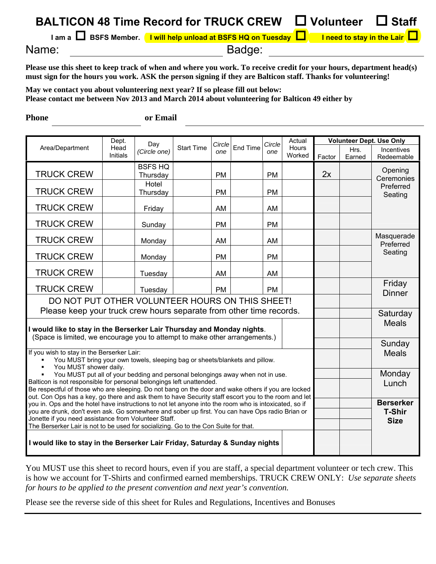|       | BALTICON 48 Time Record for TRUCK CREW □ Volunteer □ Staff                                                   |  |  |
|-------|--------------------------------------------------------------------------------------------------------------|--|--|
|       | I am a $\Box$ BSFS Member. I will help unload at BSFS HQ on Tuesday $\Box$ I need to stay in the Lair $\Box$ |  |  |
| Name: | Badge:                                                                                                       |  |  |

**Please use this sheet to keep track of when and where you work. To receive credit for your hours, department head(s) must sign for the hours you work. ASK the person signing if they are Balticon staff. Thanks for volunteering!** 

**May we contact you about volunteering next year? If so please fill out below: Please contact me between Nov 2013 and March 2014 about volunteering for Balticon 49 either by** 

**Phone or Email Volunteer Dept. Use Only**  Area/Department Dept. Head Initials Day *(Circle one)* Start Time *Circle one*  End Time *Circle one*  Actual Hours<br>Worked Factor Hrs. Earned Incentives Redeemable TRUCK CREW BSFS HQ Thursday PM PM PM 2x TRUCK CREW Hotel Thursday | PM | PM TRUCK CREW | Friday | AM AM AM TRUCK CREW | | Sunday | | PM | | PM **Opening Ceremonies** Preferred Seating TRUCK CREW Monday AM AM TRUCK CREW | | Monday | | PM | PM TRUCK CREW | Tuesday | AM | AM Masquerade Preferred Seating TRUCK CREW Tuesday PM PM Friday **Dinner** DO NOT PUT OTHER VOLUNTEER HOURS ON THIS SHEET! Please keep your truck crew hours separate from other time records. **Meals I would like to stay in the Berserker Lair Thursday and Monday nights**. (Space is limited, we encourage you to attempt to make other arrangements.) Sunday Meals **Monday** Lunch If you wish to stay in the Berserker Lair: You MUST bring your own towels, sleeping bag or sheets/blankets and pillow. You MUST shower daily. You MUST put all of your bedding and personal belongings away when not in use. Balticon is not responsible for personal belongings left unattended. Be respectful of those who are sleeping. Do not bang on the door and wake others if you are locked out. Con Ops has a key, go there and ask them to have Security staff escort you to the room and let you in. Ops and the hotel have instructions to not let anyone into the room who is intoxicated, so if you are drunk, don't even ask. Go somewhere and sober up first. You can have Ops radio Brian or Jonette if you need assistance from Volunteer Staff. The Berserker Lair is not to be used for socializing. Go to the Con Suite for that. **I would like to stay in the Berserker Lair Friday, Saturday & Sunday nights Berserker T-Shir Size** 

You MUST use this sheet to record hours, even if you are staff, a special department volunteer or tech crew. This is how we account for T-Shirts and confirmed earned memberships. TRUCK CREW ONLY: *Use separate sheets for hours to be applied to the present convention and next year's convention.*

Please see the reverse side of this sheet for Rules and Regulations, Incentives and Bonuses